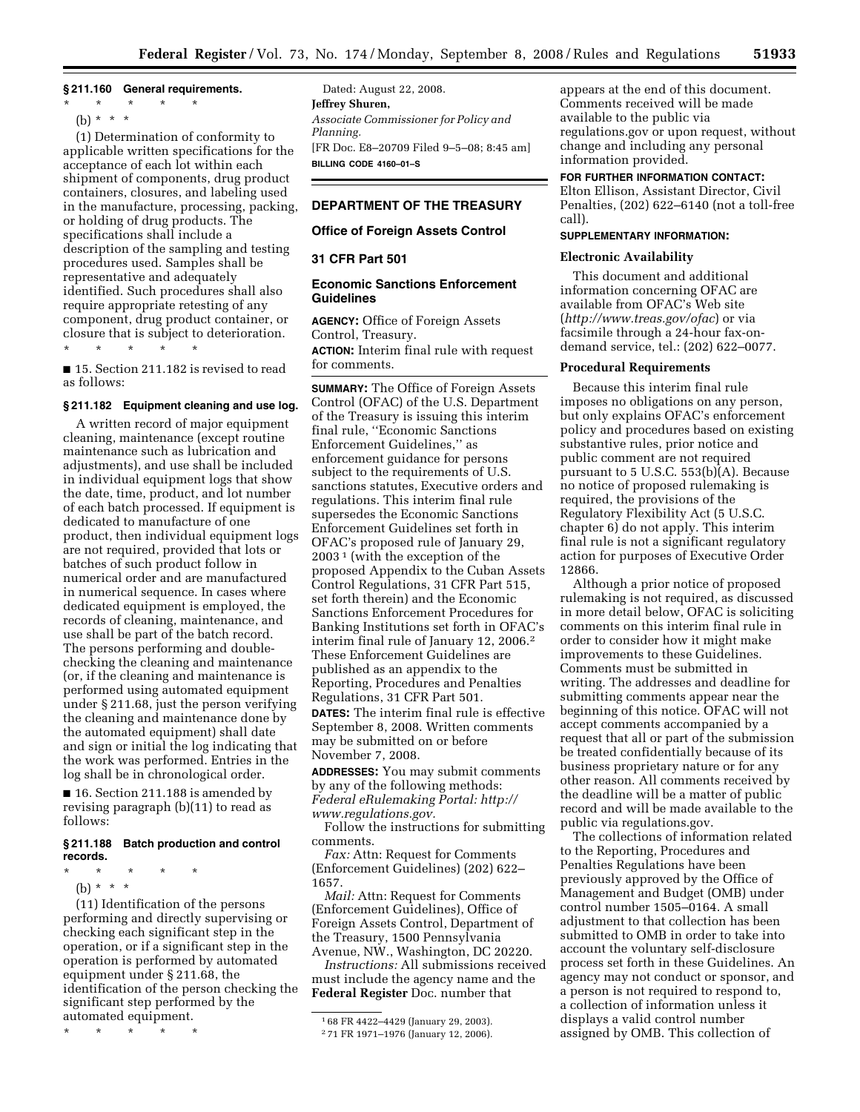### **§ 211.160 General requirements.**

- \* \* \* \* \*
	- (b) \* \* \*

(1) Determination of conformity to applicable written specifications for the acceptance of each lot within each shipment of components, drug product containers, closures, and labeling used in the manufacture, processing, packing, or holding of drug products. The specifications shall include a description of the sampling and testing procedures used. Samples shall be representative and adequately identified. Such procedures shall also require appropriate retesting of any component, drug product container, or closure that is subject to deterioration. \* \* \* \* \*

■ 15. Section 211.182 is revised to read as follows:

## **§ 211.182 Equipment cleaning and use log.**

A written record of major equipment cleaning, maintenance (except routine maintenance such as lubrication and adjustments), and use shall be included in individual equipment logs that show the date, time, product, and lot number of each batch processed. If equipment is dedicated to manufacture of one product, then individual equipment logs are not required, provided that lots or batches of such product follow in numerical order and are manufactured in numerical sequence. In cases where dedicated equipment is employed, the records of cleaning, maintenance, and use shall be part of the batch record. The persons performing and doublechecking the cleaning and maintenance (or, if the cleaning and maintenance is performed using automated equipment under § 211.68, just the person verifying the cleaning and maintenance done by the automated equipment) shall date and sign or initial the log indicating that the work was performed. Entries in the log shall be in chronological order.

■ 16. Section 211.188 is amended by revising paragraph (b)(11) to read as follows:

#### **§ 211.188 Batch production and control records.**

- \* \* \* \* \*
	- (b) \* \* \*

(11) Identification of the persons performing and directly supervising or checking each significant step in the operation, or if a significant step in the operation is performed by automated equipment under § 211.68, the identification of the person checking the significant step performed by the automated equipment.

\* \* \* \* \*

Dated: August 22, 2008. **Jeffrey Shuren,**  *Associate Commissioner for Policy and Planning.*  [FR Doc. E8–20709 Filed 9–5–08; 8:45 am] **BILLING CODE 4160–01–S** 

# **DEPARTMENT OF THE TREASURY**

## **Office of Foreign Assets Control**

## **31 CFR Part 501**

# **Economic Sanctions Enforcement Guidelines**

**AGENCY:** Office of Foreign Assets Control, Treasury.

**ACTION:** Interim final rule with request for comments.

**SUMMARY:** The Office of Foreign Assets Control (OFAC) of the U.S. Department of the Treasury is issuing this interim final rule, ''Economic Sanctions Enforcement Guidelines,'' as enforcement guidance for persons subject to the requirements of U.S. sanctions statutes, Executive orders and regulations. This interim final rule supersedes the Economic Sanctions Enforcement Guidelines set forth in OFAC's proposed rule of January 29, 2003 1 (with the exception of the proposed Appendix to the Cuban Assets Control Regulations, 31 CFR Part 515, set forth therein) and the Economic Sanctions Enforcement Procedures for Banking Institutions set forth in OFAC's interim final rule of January 12, 2006.2 These Enforcement Guidelines are published as an appendix to the Reporting, Procedures and Penalties Regulations, 31 CFR Part 501.

**DATES:** The interim final rule is effective September 8, 2008. Written comments may be submitted on or before November 7, 2008.

**ADDRESSES:** You may submit comments by any of the following methods: *Federal eRulemaking Portal: http:// www.regulations.gov.* 

Follow the instructions for submitting comments.

*Fax:* Attn: Request for Comments (Enforcement Guidelines) (202) 622– 1657.

*Mail:* Attn: Request for Comments (Enforcement Guidelines), Office of Foreign Assets Control, Department of the Treasury, 1500 Pennsylvania Avenue, NW., Washington, DC 20220.

*Instructions:* All submissions received must include the agency name and the **Federal Register** Doc. number that

appears at the end of this document. Comments received will be made available to the public via regulations.gov or upon request, without change and including any personal information provided.

# **FOR FURTHER INFORMATION CONTACT:**

Elton Ellison, Assistant Director, Civil Penalties, (202) 622–6140 (not a toll-free call).

# **SUPPLEMENTARY INFORMATION:**

#### **Electronic Availability**

This document and additional information concerning OFAC are available from OFAC's Web site (*http://www.treas.gov/ofac*) or via facsimile through a 24-hour fax-ondemand service, tel.: (202) 622–0077.

## **Procedural Requirements**

Because this interim final rule imposes no obligations on any person, but only explains OFAC's enforcement policy and procedures based on existing substantive rules, prior notice and public comment are not required pursuant to 5 U.S.C. 553(b)(A). Because no notice of proposed rulemaking is required, the provisions of the Regulatory Flexibility Act (5 U.S.C. chapter 6) do not apply. This interim final rule is not a significant regulatory action for purposes of Executive Order 12866.

Although a prior notice of proposed rulemaking is not required, as discussed in more detail below, OFAC is soliciting comments on this interim final rule in order to consider how it might make improvements to these Guidelines. Comments must be submitted in writing. The addresses and deadline for submitting comments appear near the beginning of this notice. OFAC will not accept comments accompanied by a request that all or part of the submission be treated confidentially because of its business proprietary nature or for any other reason. All comments received by the deadline will be a matter of public record and will be made available to the public via regulations.gov.

The collections of information related to the Reporting, Procedures and Penalties Regulations have been previously approved by the Office of Management and Budget (OMB) under control number 1505–0164. A small adjustment to that collection has been submitted to OMB in order to take into account the voluntary self-disclosure process set forth in these Guidelines. An agency may not conduct or sponsor, and a person is not required to respond to, a collection of information unless it displays a valid control number assigned by OMB. This collection of

<sup>1</sup> 68 FR 4422–4429 (January 29, 2003).

<sup>2</sup> 71 FR 1971–1976 (January 12, 2006).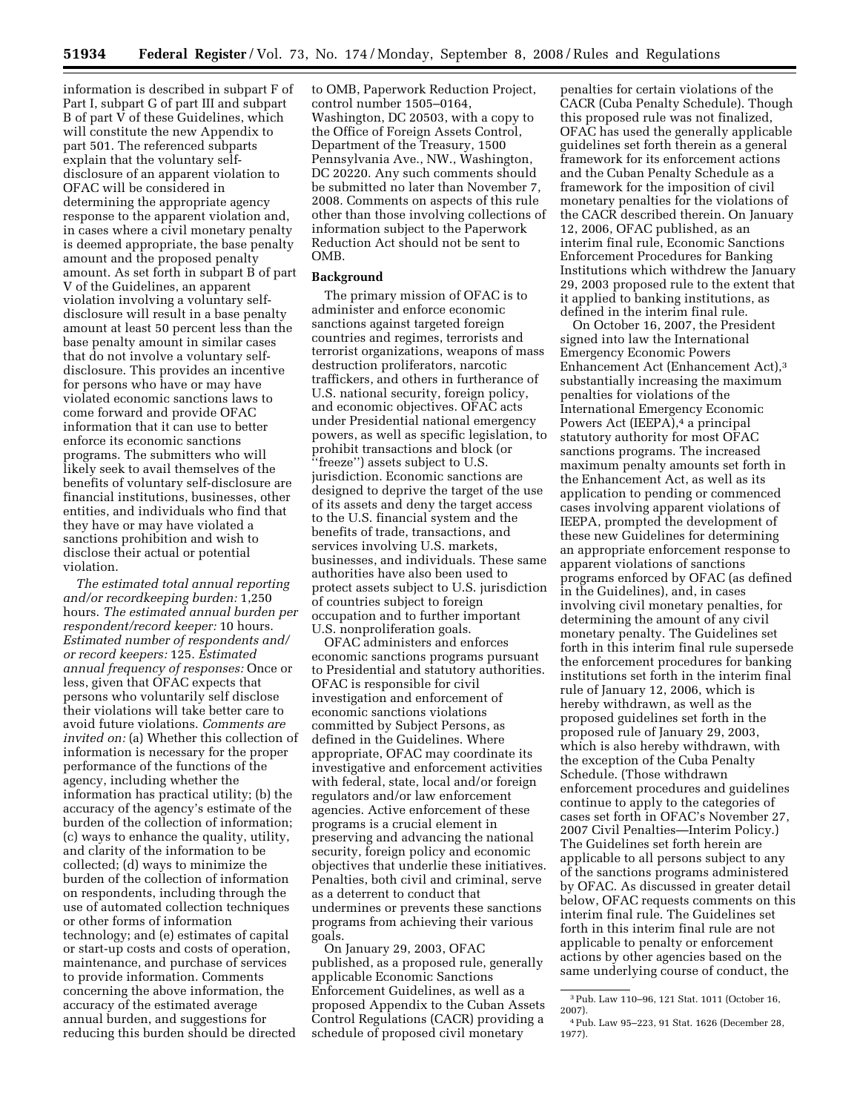information is described in subpart F of Part I, subpart G of part III and subpart B of part V of these Guidelines, which will constitute the new Appendix to part 501. The referenced subparts explain that the voluntary selfdisclosure of an apparent violation to OFAC will be considered in determining the appropriate agency response to the apparent violation and, in cases where a civil monetary penalty is deemed appropriate, the base penalty amount and the proposed penalty amount. As set forth in subpart B of part V of the Guidelines, an apparent violation involving a voluntary selfdisclosure will result in a base penalty amount at least 50 percent less than the base penalty amount in similar cases that do not involve a voluntary selfdisclosure. This provides an incentive for persons who have or may have violated economic sanctions laws to come forward and provide OFAC information that it can use to better enforce its economic sanctions programs. The submitters who will likely seek to avail themselves of the benefits of voluntary self-disclosure are financial institutions, businesses, other entities, and individuals who find that they have or may have violated a sanctions prohibition and wish to disclose their actual or potential violation.

*The estimated total annual reporting and/or recordkeeping burden:* 1,250 hours. *The estimated annual burden per respondent/record keeper:* 10 hours. *Estimated number of respondents and/ or record keepers:* 125. *Estimated annual frequency of responses:* Once or less, given that OFAC expects that persons who voluntarily self disclose their violations will take better care to avoid future violations. *Comments are invited on:* (a) Whether this collection of information is necessary for the proper performance of the functions of the agency, including whether the information has practical utility; (b) the accuracy of the agency's estimate of the burden of the collection of information; (c) ways to enhance the quality, utility, and clarity of the information to be collected; (d) ways to minimize the burden of the collection of information on respondents, including through the use of automated collection techniques or other forms of information technology; and (e) estimates of capital or start-up costs and costs of operation, maintenance, and purchase of services to provide information. Comments concerning the above information, the accuracy of the estimated average annual burden, and suggestions for reducing this burden should be directed

to OMB, Paperwork Reduction Project, control number 1505–0164, Washington, DC 20503, with a copy to the Office of Foreign Assets Control, Department of the Treasury, 1500 Pennsylvania Ave., NW., Washington, DC 20220. Any such comments should be submitted no later than November 7, 2008. Comments on aspects of this rule other than those involving collections of information subject to the Paperwork Reduction Act should not be sent to OMB.

## **Background**

The primary mission of OFAC is to administer and enforce economic sanctions against targeted foreign countries and regimes, terrorists and terrorist organizations, weapons of mass destruction proliferators, narcotic traffickers, and others in furtherance of U.S. national security, foreign policy, and economic objectives. OFAC acts under Presidential national emergency powers, as well as specific legislation, to prohibit transactions and block (or ''freeze'') assets subject to U.S. jurisdiction. Economic sanctions are designed to deprive the target of the use of its assets and deny the target access to the U.S. financial system and the benefits of trade, transactions, and services involving U.S. markets, businesses, and individuals. These same authorities have also been used to protect assets subject to U.S. jurisdiction of countries subject to foreign occupation and to further important U.S. nonproliferation goals.

OFAC administers and enforces economic sanctions programs pursuant to Presidential and statutory authorities. OFAC is responsible for civil investigation and enforcement of economic sanctions violations committed by Subject Persons, as defined in the Guidelines. Where appropriate, OFAC may coordinate its investigative and enforcement activities with federal, state, local and/or foreign regulators and/or law enforcement agencies. Active enforcement of these programs is a crucial element in preserving and advancing the national security, foreign policy and economic objectives that underlie these initiatives. Penalties, both civil and criminal, serve as a deterrent to conduct that undermines or prevents these sanctions programs from achieving their various goals.

On January 29, 2003, OFAC published, as a proposed rule, generally applicable Economic Sanctions Enforcement Guidelines, as well as a proposed Appendix to the Cuban Assets Control Regulations (CACR) providing a schedule of proposed civil monetary

penalties for certain violations of the CACR (Cuba Penalty Schedule). Though this proposed rule was not finalized, OFAC has used the generally applicable guidelines set forth therein as a general framework for its enforcement actions and the Cuban Penalty Schedule as a framework for the imposition of civil monetary penalties for the violations of the CACR described therein. On January 12, 2006, OFAC published, as an interim final rule, Economic Sanctions Enforcement Procedures for Banking Institutions which withdrew the January 29, 2003 proposed rule to the extent that it applied to banking institutions, as defined in the interim final rule.

On October 16, 2007, the President signed into law the International Emergency Economic Powers Enhancement Act (Enhancement Act),3 substantially increasing the maximum penalties for violations of the International Emergency Economic Powers Act (IEEPA),<sup>4</sup> a principal statutory authority for most OFAC sanctions programs. The increased maximum penalty amounts set forth in the Enhancement Act, as well as its application to pending or commenced cases involving apparent violations of IEEPA, prompted the development of these new Guidelines for determining an appropriate enforcement response to apparent violations of sanctions programs enforced by OFAC (as defined in the Guidelines), and, in cases involving civil monetary penalties, for determining the amount of any civil monetary penalty. The Guidelines set forth in this interim final rule supersede the enforcement procedures for banking institutions set forth in the interim final rule of January 12, 2006, which is hereby withdrawn, as well as the proposed guidelines set forth in the proposed rule of January 29, 2003, which is also hereby withdrawn, with the exception of the Cuba Penalty Schedule. (Those withdrawn enforcement procedures and guidelines continue to apply to the categories of cases set forth in OFAC's November 27, 2007 Civil Penalties—Interim Policy.) The Guidelines set forth herein are applicable to all persons subject to any of the sanctions programs administered by OFAC. As discussed in greater detail below, OFAC requests comments on this interim final rule. The Guidelines set forth in this interim final rule are not applicable to penalty or enforcement actions by other agencies based on the same underlying course of conduct, the

<sup>3</sup>Pub. Law 110–96, 121 Stat. 1011 (October 16, 2007).

<sup>4</sup>Pub. Law 95–223, 91 Stat. 1626 (December 28, 1977).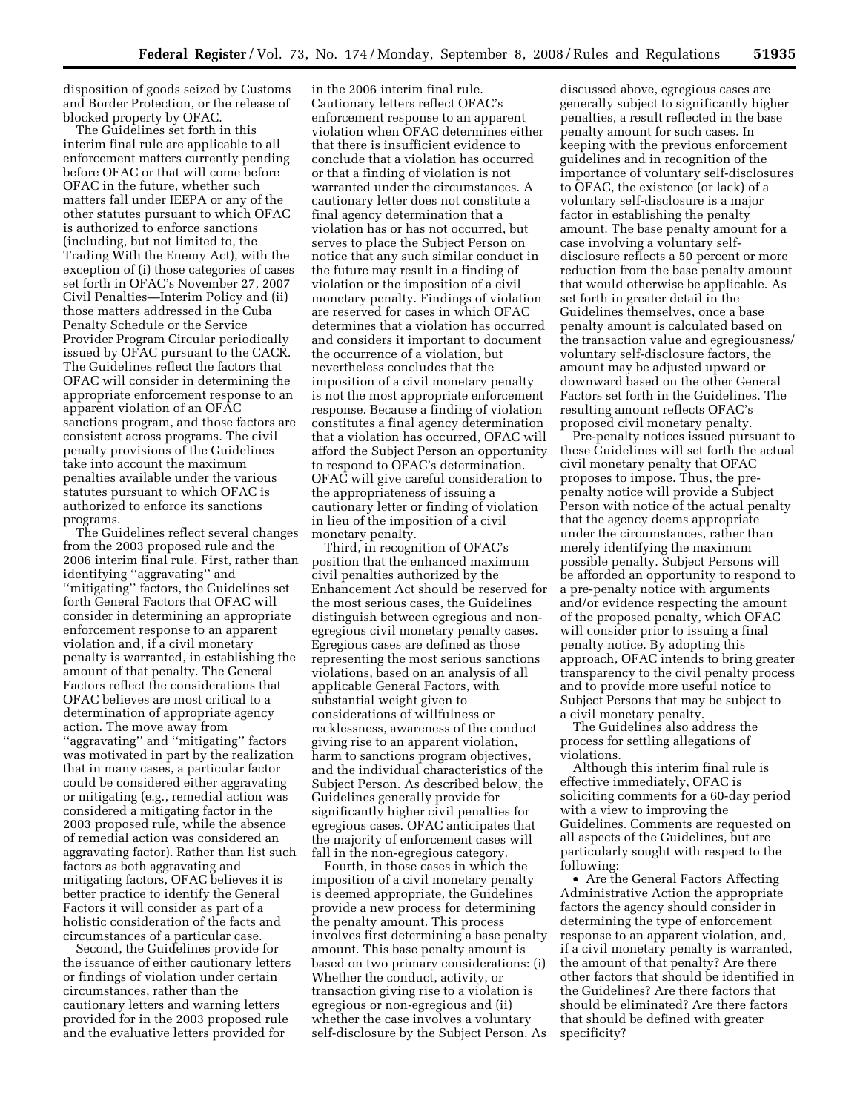disposition of goods seized by Customs and Border Protection, or the release of blocked property by OFAC.

The Guidelines set forth in this interim final rule are applicable to all enforcement matters currently pending before OFAC or that will come before OFAC in the future, whether such matters fall under IEEPA or any of the other statutes pursuant to which OFAC is authorized to enforce sanctions (including, but not limited to, the Trading With the Enemy Act), with the exception of (i) those categories of cases set forth in OFAC's November 27, 2007 Civil Penalties—Interim Policy and (ii) those matters addressed in the Cuba Penalty Schedule or the Service Provider Program Circular periodically issued by OFAC pursuant to the CACR. The Guidelines reflect the factors that OFAC will consider in determining the appropriate enforcement response to an apparent violation of an OFAC sanctions program, and those factors are consistent across programs. The civil penalty provisions of the Guidelines take into account the maximum penalties available under the various statutes pursuant to which OFAC is authorized to enforce its sanctions programs.

The Guidelines reflect several changes from the 2003 proposed rule and the 2006 interim final rule. First, rather than identifying ''aggravating'' and ''mitigating'' factors, the Guidelines set forth General Factors that OFAC will consider in determining an appropriate enforcement response to an apparent violation and, if a civil monetary penalty is warranted, in establishing the amount of that penalty. The General Factors reflect the considerations that OFAC believes are most critical to a determination of appropriate agency action. The move away from ''aggravating'' and ''mitigating'' factors was motivated in part by the realization that in many cases, a particular factor could be considered either aggravating or mitigating (e.g., remedial action was considered a mitigating factor in the 2003 proposed rule, while the absence of remedial action was considered an aggravating factor). Rather than list such factors as both aggravating and mitigating factors, OFAC believes it is better practice to identify the General Factors it will consider as part of a holistic consideration of the facts and circumstances of a particular case.

Second, the Guidelines provide for the issuance of either cautionary letters or findings of violation under certain circumstances, rather than the cautionary letters and warning letters provided for in the 2003 proposed rule and the evaluative letters provided for

in the 2006 interim final rule. Cautionary letters reflect OFAC's enforcement response to an apparent violation when OFAC determines either that there is insufficient evidence to conclude that a violation has occurred or that a finding of violation is not warranted under the circumstances. A cautionary letter does not constitute a final agency determination that a violation has or has not occurred, but serves to place the Subject Person on notice that any such similar conduct in the future may result in a finding of violation or the imposition of a civil monetary penalty. Findings of violation are reserved for cases in which OFAC determines that a violation has occurred and considers it important to document the occurrence of a violation, but nevertheless concludes that the imposition of a civil monetary penalty is not the most appropriate enforcement response. Because a finding of violation constitutes a final agency determination that a violation has occurred, OFAC will afford the Subject Person an opportunity to respond to OFAC's determination. OFAC will give careful consideration to the appropriateness of issuing a cautionary letter or finding of violation in lieu of the imposition of a civil monetary penalty.

Third, in recognition of OFAC's position that the enhanced maximum civil penalties authorized by the Enhancement Act should be reserved for the most serious cases, the Guidelines distinguish between egregious and nonegregious civil monetary penalty cases. Egregious cases are defined as those representing the most serious sanctions violations, based on an analysis of all applicable General Factors, with substantial weight given to considerations of willfulness or recklessness, awareness of the conduct giving rise to an apparent violation, harm to sanctions program objectives, and the individual characteristics of the Subject Person. As described below, the Guidelines generally provide for significantly higher civil penalties for egregious cases. OFAC anticipates that the majority of enforcement cases will fall in the non-egregious category.

Fourth, in those cases in which the imposition of a civil monetary penalty is deemed appropriate, the Guidelines provide a new process for determining the penalty amount. This process involves first determining a base penalty amount. This base penalty amount is based on two primary considerations: (i) Whether the conduct, activity, or transaction giving rise to a violation is egregious or non-egregious and (ii) whether the case involves a voluntary self-disclosure by the Subject Person. As

discussed above, egregious cases are generally subject to significantly higher penalties, a result reflected in the base penalty amount for such cases. In keeping with the previous enforcement guidelines and in recognition of the importance of voluntary self-disclosures to OFAC, the existence (or lack) of a voluntary self-disclosure is a major factor in establishing the penalty amount. The base penalty amount for a case involving a voluntary selfdisclosure reflects a 50 percent or more reduction from the base penalty amount that would otherwise be applicable. As set forth in greater detail in the Guidelines themselves, once a base penalty amount is calculated based on the transaction value and egregiousness/ voluntary self-disclosure factors, the amount may be adjusted upward or downward based on the other General Factors set forth in the Guidelines. The resulting amount reflects OFAC's proposed civil monetary penalty.

Pre-penalty notices issued pursuant to these Guidelines will set forth the actual civil monetary penalty that OFAC proposes to impose. Thus, the prepenalty notice will provide a Subject Person with notice of the actual penalty that the agency deems appropriate under the circumstances, rather than merely identifying the maximum possible penalty. Subject Persons will be afforded an opportunity to respond to a pre-penalty notice with arguments and/or evidence respecting the amount of the proposed penalty, which OFAC will consider prior to issuing a final penalty notice. By adopting this approach, OFAC intends to bring greater transparency to the civil penalty process and to provide more useful notice to Subject Persons that may be subject to a civil monetary penalty.

The Guidelines also address the process for settling allegations of violations.

Although this interim final rule is effective immediately, OFAC is soliciting comments for a 60-day period with a view to improving the Guidelines. Comments are requested on all aspects of the Guidelines, but are particularly sought with respect to the following:

• Are the General Factors Affecting Administrative Action the appropriate factors the agency should consider in determining the type of enforcement response to an apparent violation, and, if a civil monetary penalty is warranted, the amount of that penalty? Are there other factors that should be identified in the Guidelines? Are there factors that should be eliminated? Are there factors that should be defined with greater specificity?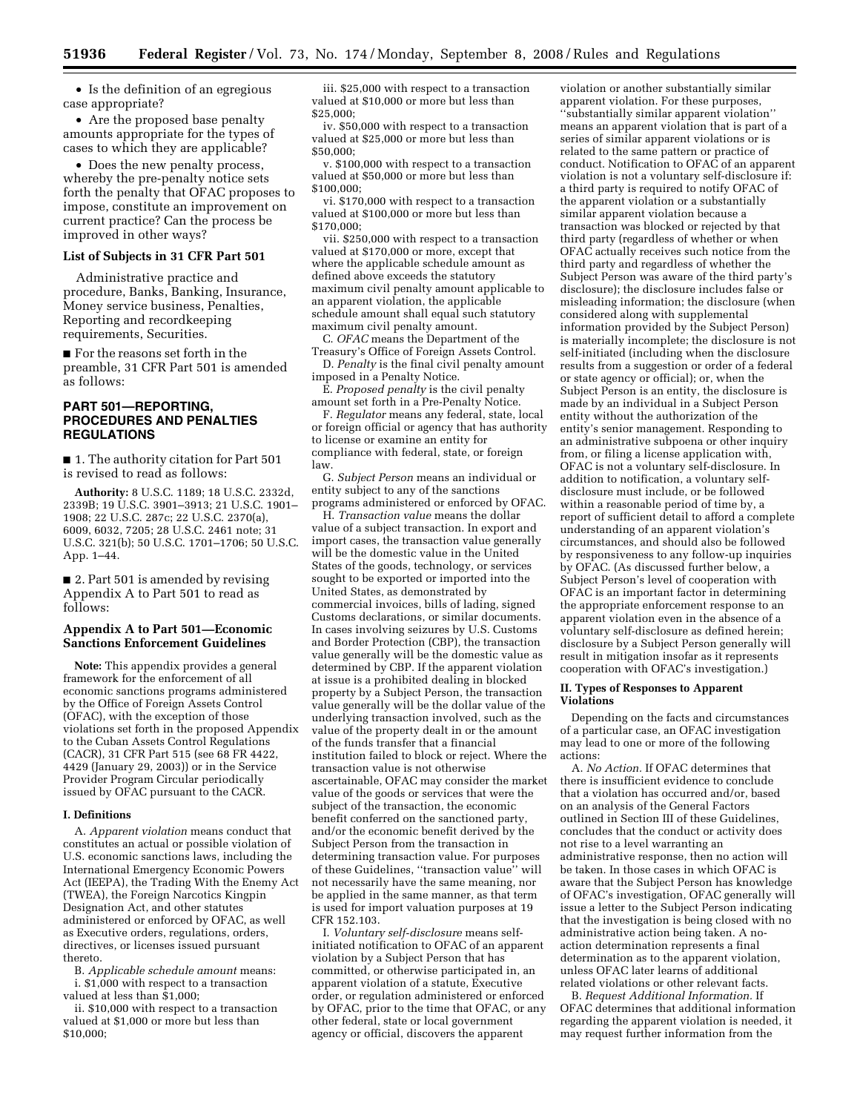• Is the definition of an egregious case appropriate?

• Are the proposed base penalty amounts appropriate for the types of cases to which they are applicable?

• Does the new penalty process, whereby the pre-penalty notice sets forth the penalty that OFAC proposes to impose, constitute an improvement on current practice? Can the process be improved in other ways?

## **List of Subjects in 31 CFR Part 501**

Administrative practice and procedure, Banks, Banking, Insurance, Money service business, Penalties, Reporting and recordkeeping requirements, Securities.

■ For the reasons set forth in the preamble, 31 CFR Part 501 is amended as follows:

## **PART 501—REPORTING, PROCEDURES AND PENALTIES REGULATIONS**

■ 1. The authority citation for Part 501 is revised to read as follows:

**Authority:** 8 U.S.C. 1189; 18 U.S.C. 2332d, 2339B; 19 U.S.C. 3901–3913; 21 U.S.C. 1901– 1908; 22 U.S.C. 287c; 22 U.S.C. 2370(a), 6009, 6032, 7205; 28 U.S.C. 2461 note; 31 U.S.C. 321(b); 50 U.S.C. 1701–1706; 50 U.S.C. App. 1–44.

■ 2. Part 501 is amended by revising Appendix A to Part 501 to read as follows:

## **Appendix A to Part 501—Economic Sanctions Enforcement Guidelines**

**Note:** This appendix provides a general framework for the enforcement of all economic sanctions programs administered by the Office of Foreign Assets Control (OFAC), with the exception of those violations set forth in the proposed Appendix to the Cuban Assets Control Regulations (CACR), 31 CFR Part 515 (see 68 FR 4422, 4429 (January 29, 2003)) or in the Service Provider Program Circular periodically issued by OFAC pursuant to the CACR.

#### **I. Definitions**

A. *Apparent violation* means conduct that constitutes an actual or possible violation of U.S. economic sanctions laws, including the International Emergency Economic Powers Act (IEEPA), the Trading With the Enemy Act (TWEA), the Foreign Narcotics Kingpin Designation Act, and other statutes administered or enforced by OFAC, as well as Executive orders, regulations, orders, directives, or licenses issued pursuant thereto.

B. *Applicable schedule amount* means: i. \$1,000 with respect to a transaction valued at less than \$1,000;

ii. \$10,000 with respect to a transaction valued at \$1,000 or more but less than \$10,000;

iii. \$25,000 with respect to a transaction valued at \$10,000 or more but less than \$25,000;

iv. \$50,000 with respect to a transaction valued at \$25,000 or more but less than \$50,000;

v. \$100,000 with respect to a transaction valued at \$50,000 or more but less than \$100,000;

vi. \$170,000 with respect to a transaction valued at \$100,000 or more but less than \$170,000;

vii. \$250,000 with respect to a transaction valued at \$170,000 or more, except that where the applicable schedule amount as defined above exceeds the statutory maximum civil penalty amount applicable to an apparent violation, the applicable schedule amount shall equal such statutory maximum civil penalty amount.

C. *OFAC* means the Department of the Treasury's Office of Foreign Assets Control. D. *Penalty* is the final civil penalty amount

imposed in a Penalty Notice.

E. *Proposed penalty* is the civil penalty amount set forth in a Pre-Penalty Notice.

F. *Regulator* means any federal, state, local or foreign official or agency that has authority to license or examine an entity for compliance with federal, state, or foreign law.

G. *Subject Person* means an individual or entity subject to any of the sanctions programs administered or enforced by OFAC.

H. *Transaction value* means the dollar value of a subject transaction. In export and import cases, the transaction value generally will be the domestic value in the United States of the goods, technology, or services sought to be exported or imported into the United States, as demonstrated by commercial invoices, bills of lading, signed Customs declarations, or similar documents. In cases involving seizures by U.S. Customs and Border Protection (CBP), the transaction value generally will be the domestic value as determined by CBP. If the apparent violation at issue is a prohibited dealing in blocked property by a Subject Person, the transaction value generally will be the dollar value of the underlying transaction involved, such as the value of the property dealt in or the amount of the funds transfer that a financial institution failed to block or reject. Where the transaction value is not otherwise ascertainable, OFAC may consider the market value of the goods or services that were the subject of the transaction, the economic benefit conferred on the sanctioned party, and/or the economic benefit derived by the Subject Person from the transaction in determining transaction value. For purposes of these Guidelines, ''transaction value'' will not necessarily have the same meaning, nor be applied in the same manner, as that term is used for import valuation purposes at 19 CFR 152.103.

I. *Voluntary self-disclosure* means selfinitiated notification to OFAC of an apparent violation by a Subject Person that has committed, or otherwise participated in, an apparent violation of a statute, Executive order, or regulation administered or enforced by OFAC, prior to the time that OFAC, or any other federal, state or local government agency or official, discovers the apparent

violation or another substantially similar apparent violation. For these purposes, ''substantially similar apparent violation'' means an apparent violation that is part of a series of similar apparent violations or is related to the same pattern or practice of conduct. Notification to OFAC of an apparent violation is not a voluntary self-disclosure if: a third party is required to notify OFAC of the apparent violation or a substantially similar apparent violation because a transaction was blocked or rejected by that third party (regardless of whether or when OFAC actually receives such notice from the third party and regardless of whether the Subject Person was aware of the third party's disclosure); the disclosure includes false or misleading information; the disclosure (when considered along with supplemental information provided by the Subject Person) is materially incomplete; the disclosure is not self-initiated (including when the disclosure results from a suggestion or order of a federal or state agency or official); or, when the Subject Person is an entity, the disclosure is made by an individual in a Subject Person entity without the authorization of the entity's senior management. Responding to an administrative subpoena or other inquiry from, or filing a license application with, OFAC is not a voluntary self-disclosure. In addition to notification, a voluntary selfdisclosure must include, or be followed within a reasonable period of time by, a report of sufficient detail to afford a complete understanding of an apparent violation's circumstances, and should also be followed by responsiveness to any follow-up inquiries by OFAC. (As discussed further below, a Subject Person's level of cooperation with OFAC is an important factor in determining the appropriate enforcement response to an apparent violation even in the absence of a voluntary self-disclosure as defined herein; disclosure by a Subject Person generally will result in mitigation insofar as it represents cooperation with OFAC's investigation.)

#### **II. Types of Responses to Apparent Violations**

Depending on the facts and circumstances of a particular case, an OFAC investigation may lead to one or more of the following actions:

A. *No Action.* If OFAC determines that there is insufficient evidence to conclude that a violation has occurred and/or, based on an analysis of the General Factors outlined in Section III of these Guidelines, concludes that the conduct or activity does not rise to a level warranting an administrative response, then no action will be taken. In those cases in which OFAC is aware that the Subject Person has knowledge of OFAC's investigation, OFAC generally will issue a letter to the Subject Person indicating that the investigation is being closed with no administrative action being taken. A noaction determination represents a final determination as to the apparent violation, unless OFAC later learns of additional related violations or other relevant facts.

B. *Request Additional Information.* If OFAC determines that additional information regarding the apparent violation is needed, it may request further information from the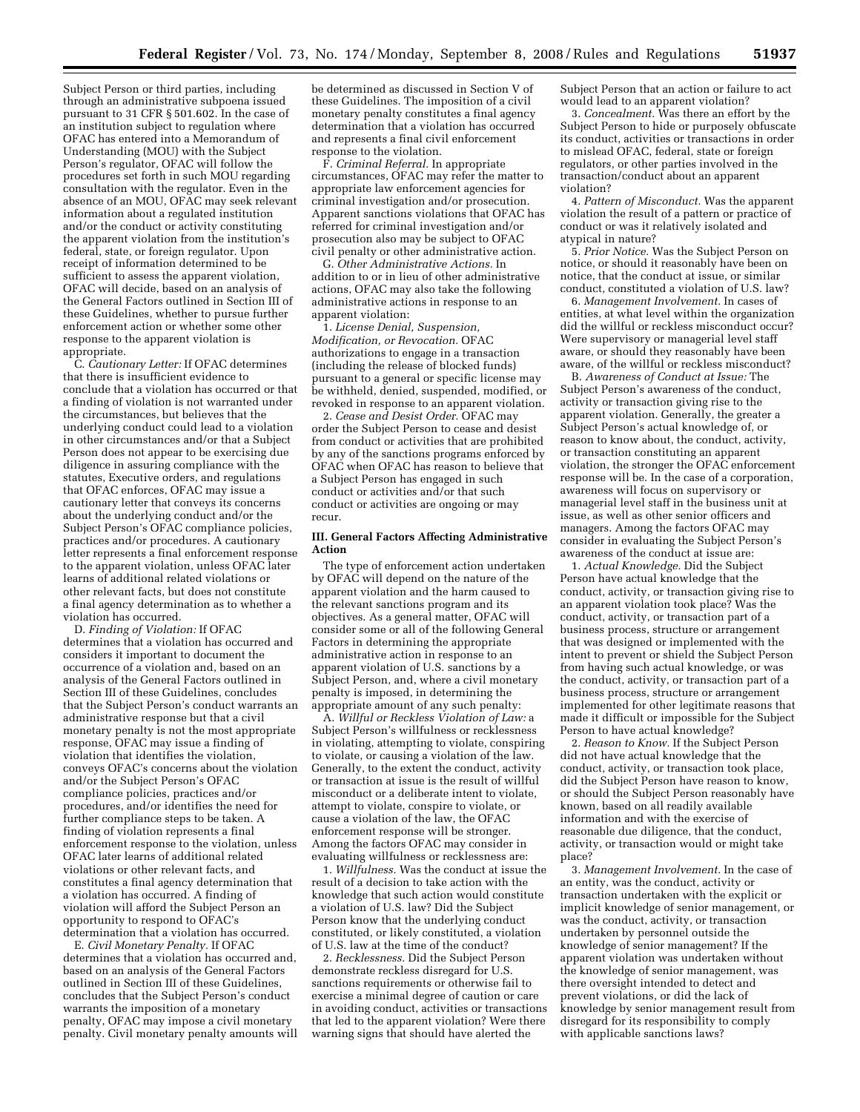Subject Person or third parties, including through an administrative subpoena issued pursuant to 31 CFR § 501.602. In the case of an institution subject to regulation where OFAC has entered into a Memorandum of Understanding (MOU) with the Subject Person's regulator, OFAC will follow the procedures set forth in such MOU regarding consultation with the regulator. Even in the absence of an MOU, OFAC may seek relevant information about a regulated institution and/or the conduct or activity constituting the apparent violation from the institution's federal, state, or foreign regulator. Upon receipt of information determined to be sufficient to assess the apparent violation, OFAC will decide, based on an analysis of the General Factors outlined in Section III of these Guidelines, whether to pursue further enforcement action or whether some other response to the apparent violation is appropriate.

C. *Cautionary Letter:* If OFAC determines that there is insufficient evidence to conclude that a violation has occurred or that a finding of violation is not warranted under the circumstances, but believes that the underlying conduct could lead to a violation in other circumstances and/or that a Subject Person does not appear to be exercising due diligence in assuring compliance with the statutes, Executive orders, and regulations that OFAC enforces, OFAC may issue a cautionary letter that conveys its concerns about the underlying conduct and/or the Subject Person's OFAC compliance policies, practices and/or procedures. A cautionary letter represents a final enforcement response to the apparent violation, unless OFAC later learns of additional related violations or other relevant facts, but does not constitute a final agency determination as to whether a violation has occurred.

D. *Finding of Violation:* If OFAC determines that a violation has occurred and considers it important to document the occurrence of a violation and, based on an analysis of the General Factors outlined in Section III of these Guidelines, concludes that the Subject Person's conduct warrants an administrative response but that a civil monetary penalty is not the most appropriate response, OFAC may issue a finding of violation that identifies the violation, conveys OFAC's concerns about the violation and/or the Subject Person's OFAC compliance policies, practices and/or procedures, and/or identifies the need for further compliance steps to be taken. A finding of violation represents a final enforcement response to the violation, unless OFAC later learns of additional related violations or other relevant facts, and constitutes a final agency determination that a violation has occurred. A finding of violation will afford the Subject Person an opportunity to respond to OFAC's determination that a violation has occurred.

E. *Civil Monetary Penalty.* If OFAC determines that a violation has occurred and, based on an analysis of the General Factors outlined in Section III of these Guidelines, concludes that the Subject Person's conduct warrants the imposition of a monetary penalty, OFAC may impose a civil monetary penalty. Civil monetary penalty amounts will

be determined as discussed in Section V of these Guidelines. The imposition of a civil monetary penalty constitutes a final agency determination that a violation has occurred and represents a final civil enforcement response to the violation.

F. *Criminal Referral.* In appropriate circumstances, OFAC may refer the matter to appropriate law enforcement agencies for criminal investigation and/or prosecution. Apparent sanctions violations that OFAC has referred for criminal investigation and/or prosecution also may be subject to OFAC civil penalty or other administrative action.

G. *Other Administrative Actions.* In addition to or in lieu of other administrative actions, OFAC may also take the following administrative actions in response to an apparent violation:

1. *License Denial, Suspension, Modification, or Revocation.* OFAC authorizations to engage in a transaction (including the release of blocked funds) pursuant to a general or specific license may be withheld, denied, suspended, modified, or revoked in response to an apparent violation.

2. *Cease and Desist Order.* OFAC may order the Subject Person to cease and desist from conduct or activities that are prohibited by any of the sanctions programs enforced by OFAC when OFAC has reason to believe that a Subject Person has engaged in such conduct or activities and/or that such conduct or activities are ongoing or may recur.

## **III. General Factors Affecting Administrative Action**

The type of enforcement action undertaken by OFAC will depend on the nature of the apparent violation and the harm caused to the relevant sanctions program and its objectives. As a general matter, OFAC will consider some or all of the following General Factors in determining the appropriate administrative action in response to an apparent violation of U.S. sanctions by a Subject Person, and, where a civil monetary penalty is imposed, in determining the appropriate amount of any such penalty:

A. *Willful or Reckless Violation of Law:* a Subject Person's willfulness or recklessness in violating, attempting to violate, conspiring to violate, or causing a violation of the law. Generally, to the extent the conduct, activity or transaction at issue is the result of willful misconduct or a deliberate intent to violate, attempt to violate, conspire to violate, or cause a violation of the law, the OFAC enforcement response will be stronger. Among the factors OFAC may consider in evaluating willfulness or recklessness are:

1. *Willfulness.* Was the conduct at issue the result of a decision to take action with the knowledge that such action would constitute a violation of U.S. law? Did the Subject Person know that the underlying conduct constituted, or likely constituted, a violation of U.S. law at the time of the conduct?

2. *Recklessness.* Did the Subject Person demonstrate reckless disregard for U.S. sanctions requirements or otherwise fail to exercise a minimal degree of caution or care in avoiding conduct, activities or transactions that led to the apparent violation? Were there warning signs that should have alerted the

Subject Person that an action or failure to act would lead to an apparent violation?

3. *Concealment.* Was there an effort by the Subject Person to hide or purposely obfuscate its conduct, activities or transactions in order to mislead OFAC, federal, state or foreign regulators, or other parties involved in the transaction/conduct about an apparent violation?

4. *Pattern of Misconduct.* Was the apparent violation the result of a pattern or practice of conduct or was it relatively isolated and atypical in nature?

5. *Prior Notice.* Was the Subject Person on notice, or should it reasonably have been on notice, that the conduct at issue, or similar conduct, constituted a violation of U.S. law?

6. *Management Involvement.* In cases of entities, at what level within the organization did the willful or reckless misconduct occur? Were supervisory or managerial level staff aware, or should they reasonably have been aware, of the willful or reckless misconduct?

B. *Awareness of Conduct at Issue:* The Subject Person's awareness of the conduct, activity or transaction giving rise to the apparent violation. Generally, the greater a Subject Person's actual knowledge of, or reason to know about, the conduct, activity, or transaction constituting an apparent violation, the stronger the OFAC enforcement response will be. In the case of a corporation, awareness will focus on supervisory or managerial level staff in the business unit at issue, as well as other senior officers and managers. Among the factors OFAC may consider in evaluating the Subject Person's awareness of the conduct at issue are:

1. *Actual Knowledge.* Did the Subject Person have actual knowledge that the conduct, activity, or transaction giving rise to an apparent violation took place? Was the conduct, activity, or transaction part of a business process, structure or arrangement that was designed or implemented with the intent to prevent or shield the Subject Person from having such actual knowledge, or was the conduct, activity, or transaction part of a business process, structure or arrangement implemented for other legitimate reasons that made it difficult or impossible for the Subject Person to have actual knowledge?

2. *Reason to Know.* If the Subject Person did not have actual knowledge that the conduct, activity, or transaction took place, did the Subject Person have reason to know, or should the Subject Person reasonably have known, based on all readily available information and with the exercise of reasonable due diligence, that the conduct, activity, or transaction would or might take place?

3. *Management Involvement.* In the case of an entity, was the conduct, activity or transaction undertaken with the explicit or implicit knowledge of senior management, or was the conduct, activity, or transaction undertaken by personnel outside the knowledge of senior management? If the apparent violation was undertaken without the knowledge of senior management, was there oversight intended to detect and prevent violations, or did the lack of knowledge by senior management result from disregard for its responsibility to comply with applicable sanctions laws?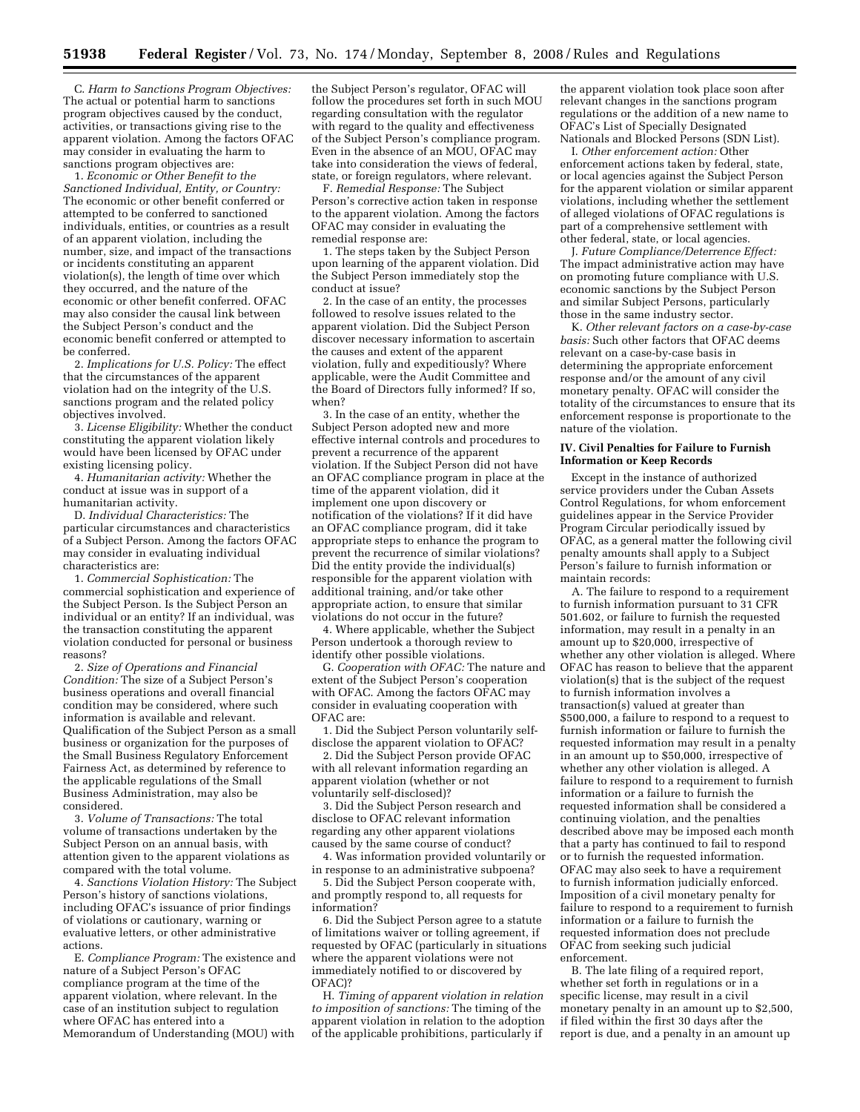C. *Harm to Sanctions Program Objectives:*  The actual or potential harm to sanctions program objectives caused by the conduct, activities, or transactions giving rise to the apparent violation. Among the factors OFAC may consider in evaluating the harm to sanctions program objectives are:

1. *Economic or Other Benefit to the Sanctioned Individual, Entity, or Country:*  The economic or other benefit conferred or attempted to be conferred to sanctioned individuals, entities, or countries as a result of an apparent violation, including the number, size, and impact of the transactions or incidents constituting an apparent violation(s), the length of time over which they occurred, and the nature of the economic or other benefit conferred. OFAC may also consider the causal link between the Subject Person's conduct and the economic benefit conferred or attempted to be conferred.

2. *Implications for U.S. Policy:* The effect that the circumstances of the apparent violation had on the integrity of the U.S. sanctions program and the related policy objectives involved.

3. *License Eligibility:* Whether the conduct constituting the apparent violation likely would have been licensed by OFAC under existing licensing policy.

4. *Humanitarian activity:* Whether the conduct at issue was in support of a humanitarian activity.

D. *Individual Characteristics:* The particular circumstances and characteristics of a Subject Person. Among the factors OFAC may consider in evaluating individual characteristics are:

1. *Commercial Sophistication:* The commercial sophistication and experience of the Subject Person. Is the Subject Person an individual or an entity? If an individual, was the transaction constituting the apparent violation conducted for personal or business reasons?

2. *Size of Operations and Financial Condition:* The size of a Subject Person's business operations and overall financial condition may be considered, where such information is available and relevant. Qualification of the Subject Person as a small business or organization for the purposes of the Small Business Regulatory Enforcement Fairness Act, as determined by reference to the applicable regulations of the Small Business Administration, may also be considered.

3. *Volume of Transactions:* The total volume of transactions undertaken by the Subject Person on an annual basis, with attention given to the apparent violations as compared with the total volume.

4. *Sanctions Violation History:* The Subject Person's history of sanctions violations, including OFAC's issuance of prior findings of violations or cautionary, warning or evaluative letters, or other administrative actions.

E. *Compliance Program:* The existence and nature of a Subject Person's OFAC compliance program at the time of the apparent violation, where relevant. In the case of an institution subject to regulation where OFAC has entered into a Memorandum of Understanding (MOU) with

the Subject Person's regulator, OFAC will follow the procedures set forth in such MOU regarding consultation with the regulator with regard to the quality and effectiveness of the Subject Person's compliance program. Even in the absence of an MOU, OFAC may take into consideration the views of federal, state, or foreign regulators, where relevant.

F. *Remedial Response:* The Subject Person's corrective action taken in response to the apparent violation. Among the factors OFAC may consider in evaluating the remedial response are:

1. The steps taken by the Subject Person upon learning of the apparent violation. Did the Subject Person immediately stop the conduct at issue?

2. In the case of an entity, the processes followed to resolve issues related to the apparent violation. Did the Subject Person discover necessary information to ascertain the causes and extent of the apparent violation, fully and expeditiously? Where applicable, were the Audit Committee and the Board of Directors fully informed? If so, when?

3. In the case of an entity, whether the Subject Person adopted new and more effective internal controls and procedures to prevent a recurrence of the apparent violation. If the Subject Person did not have an OFAC compliance program in place at the time of the apparent violation, did it implement one upon discovery or notification of the violations? If it did have an OFAC compliance program, did it take appropriate steps to enhance the program to prevent the recurrence of similar violations? Did the entity provide the individual(s) responsible for the apparent violation with additional training, and/or take other appropriate action, to ensure that similar violations do not occur in the future?

4. Where applicable, whether the Subject Person undertook a thorough review to identify other possible violations.

G. *Cooperation with OFAC:* The nature and extent of the Subject Person's cooperation with OFAC. Among the factors OFAC may consider in evaluating cooperation with OFAC are:

1. Did the Subject Person voluntarily selfdisclose the apparent violation to OFAC?

2. Did the Subject Person provide OFAC with all relevant information regarding an apparent violation (whether or not voluntarily self-disclosed)?

3. Did the Subject Person research and disclose to OFAC relevant information regarding any other apparent violations caused by the same course of conduct?

4. Was information provided voluntarily or in response to an administrative subpoena?

5. Did the Subject Person cooperate with, and promptly respond to, all requests for information?

6. Did the Subject Person agree to a statute of limitations waiver or tolling agreement, if requested by OFAC (particularly in situations where the apparent violations were not immediately notified to or discovered by OFAC)?

H. *Timing of apparent violation in relation to imposition of sanctions:* The timing of the apparent violation in relation to the adoption of the applicable prohibitions, particularly if

the apparent violation took place soon after relevant changes in the sanctions program regulations or the addition of a new name to OFAC's List of Specially Designated Nationals and Blocked Persons (SDN List).

I. *Other enforcement action:* Other enforcement actions taken by federal, state, or local agencies against the Subject Person for the apparent violation or similar apparent violations, including whether the settlement of alleged violations of OFAC regulations is part of a comprehensive settlement with other federal, state, or local agencies.

J. *Future Compliance/Deterrence Effect:*  The impact administrative action may have on promoting future compliance with U.S. economic sanctions by the Subject Person and similar Subject Persons, particularly those in the same industry sector.

K. *Other relevant factors on a case-by-case basis:* Such other factors that OFAC deems relevant on a case-by-case basis in determining the appropriate enforcement response and/or the amount of any civil monetary penalty. OFAC will consider the totality of the circumstances to ensure that its enforcement response is proportionate to the nature of the violation.

## **IV. Civil Penalties for Failure to Furnish Information or Keep Records**

Except in the instance of authorized service providers under the Cuban Assets Control Regulations, for whom enforcement guidelines appear in the Service Provider Program Circular periodically issued by OFAC, as a general matter the following civil penalty amounts shall apply to a Subject Person's failure to furnish information or maintain records:

A. The failure to respond to a requirement to furnish information pursuant to 31 CFR 501.602, or failure to furnish the requested information, may result in a penalty in an amount up to \$20,000, irrespective of whether any other violation is alleged. Where OFAC has reason to believe that the apparent violation(s) that is the subject of the request to furnish information involves a transaction(s) valued at greater than \$500,000, a failure to respond to a request to furnish information or failure to furnish the requested information may result in a penalty in an amount up to \$50,000, irrespective of whether any other violation is alleged. A failure to respond to a requirement to furnish information or a failure to furnish the requested information shall be considered a continuing violation, and the penalties described above may be imposed each month that a party has continued to fail to respond or to furnish the requested information. OFAC may also seek to have a requirement to furnish information judicially enforced. Imposition of a civil monetary penalty for failure to respond to a requirement to furnish information or a failure to furnish the requested information does not preclude OFAC from seeking such judicial enforcement.

B. The late filing of a required report, whether set forth in regulations or in a specific license, may result in a civil monetary penalty in an amount up to \$2,500, if filed within the first 30 days after the report is due, and a penalty in an amount up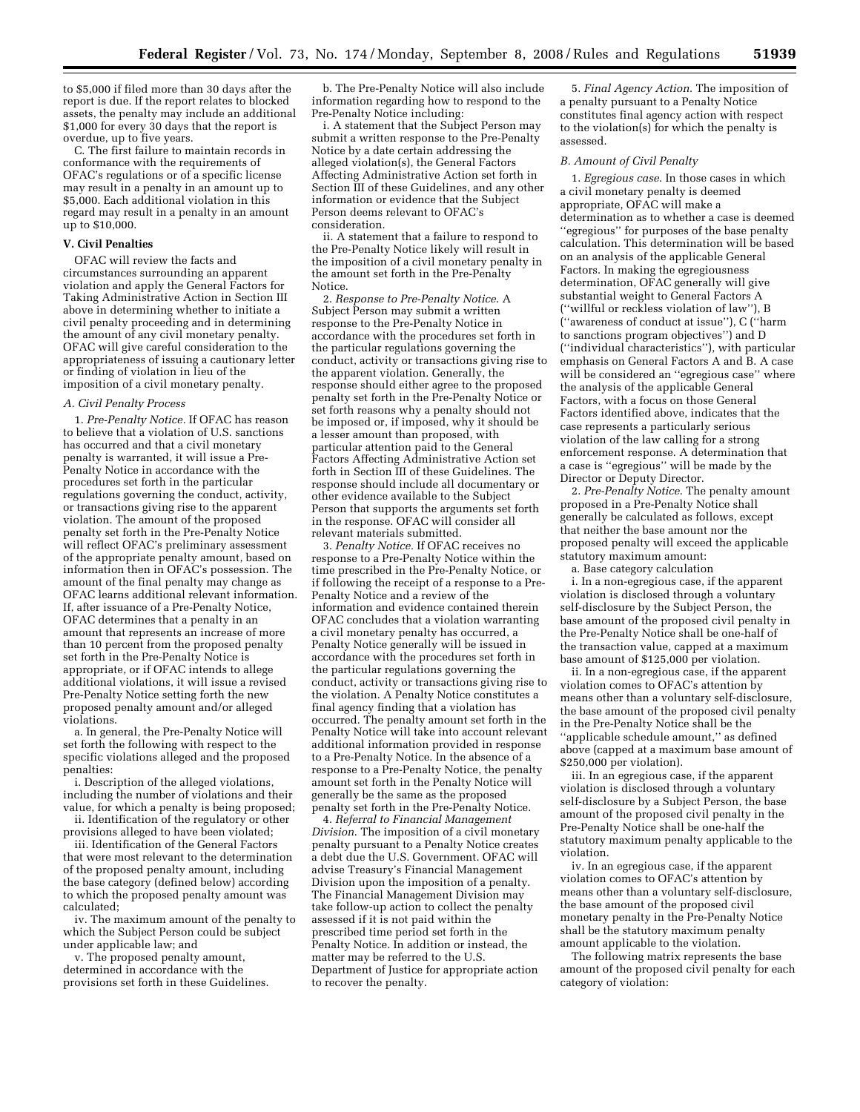to \$5,000 if filed more than 30 days after the report is due. If the report relates to blocked assets, the penalty may include an additional \$1,000 for every 30 days that the report is overdue, up to five years.

C. The first failure to maintain records in conformance with the requirements of OFAC's regulations or of a specific license may result in a penalty in an amount up to \$5,000. Each additional violation in this regard may result in a penalty in an amount up to \$10,000.

#### **V. Civil Penalties**

OFAC will review the facts and circumstances surrounding an apparent violation and apply the General Factors for Taking Administrative Action in Section III above in determining whether to initiate a civil penalty proceeding and in determining the amount of any civil monetary penalty. OFAC will give careful consideration to the appropriateness of issuing a cautionary letter or finding of violation in lieu of the imposition of a civil monetary penalty.

#### *A. Civil Penalty Process*

1. *Pre-Penalty Notice.* If OFAC has reason to believe that a violation of U.S. sanctions has occurred and that a civil monetary penalty is warranted, it will issue a Pre-Penalty Notice in accordance with the procedures set forth in the particular regulations governing the conduct, activity, or transactions giving rise to the apparent violation. The amount of the proposed penalty set forth in the Pre-Penalty Notice will reflect OFAC's preliminary assessment of the appropriate penalty amount, based on information then in OFAC's possession. The amount of the final penalty may change as OFAC learns additional relevant information. If, after issuance of a Pre-Penalty Notice, OFAC determines that a penalty in an amount that represents an increase of more than 10 percent from the proposed penalty set forth in the Pre-Penalty Notice is appropriate, or if OFAC intends to allege additional violations, it will issue a revised Pre-Penalty Notice setting forth the new proposed penalty amount and/or alleged violations.

a. In general, the Pre-Penalty Notice will set forth the following with respect to the specific violations alleged and the proposed penalties:

i. Description of the alleged violations, including the number of violations and their value, for which a penalty is being proposed; ii. Identification of the regulatory or other

provisions alleged to have been violated;

iii. Identification of the General Factors that were most relevant to the determination of the proposed penalty amount, including the base category (defined below) according to which the proposed penalty amount was calculated;

iv. The maximum amount of the penalty to which the Subject Person could be subject under applicable law; and

v. The proposed penalty amount, determined in accordance with the provisions set forth in these Guidelines.

b. The Pre-Penalty Notice will also include information regarding how to respond to the Pre-Penalty Notice including:

i. A statement that the Subject Person may submit a written response to the Pre-Penalty Notice by a date certain addressing the alleged violation(s), the General Factors Affecting Administrative Action set forth in Section III of these Guidelines, and any other information or evidence that the Subject Person deems relevant to OFAC's consideration.

ii. A statement that a failure to respond to the Pre-Penalty Notice likely will result in the imposition of a civil monetary penalty in the amount set forth in the Pre-Penalty Notice.

2. *Response to Pre-Penalty Notice*. A Subject Person may submit a written response to the Pre-Penalty Notice in accordance with the procedures set forth in the particular regulations governing the conduct, activity or transactions giving rise to the apparent violation. Generally, the response should either agree to the proposed penalty set forth in the Pre-Penalty Notice or set forth reasons why a penalty should not be imposed or, if imposed, why it should be a lesser amount than proposed, with particular attention paid to the General Factors Affecting Administrative Action set forth in Section III of these Guidelines. The response should include all documentary or other evidence available to the Subject Person that supports the arguments set forth in the response. OFAC will consider all relevant materials submitted.

3. *Penalty Notice.* If OFAC receives no response to a Pre-Penalty Notice within the time prescribed in the Pre-Penalty Notice, or if following the receipt of a response to a Pre-Penalty Notice and a review of the information and evidence contained therein OFAC concludes that a violation warranting a civil monetary penalty has occurred, a Penalty Notice generally will be issued in accordance with the procedures set forth in the particular regulations governing the conduct, activity or transactions giving rise to the violation. A Penalty Notice constitutes a final agency finding that a violation has occurred. The penalty amount set forth in the Penalty Notice will take into account relevant additional information provided in response to a Pre-Penalty Notice. In the absence of a response to a Pre-Penalty Notice, the penalty amount set forth in the Penalty Notice will generally be the same as the proposed penalty set forth in the Pre-Penalty Notice.

4. *Referral to Financial Management Division*. The imposition of a civil monetary penalty pursuant to a Penalty Notice creates a debt due the U.S. Government. OFAC will advise Treasury's Financial Management Division upon the imposition of a penalty. The Financial Management Division may take follow-up action to collect the penalty assessed if it is not paid within the prescribed time period set forth in the Penalty Notice. In addition or instead, the matter may be referred to the U.S. Department of Justice for appropriate action to recover the penalty.

5. *Final Agency Action*. The imposition of a penalty pursuant to a Penalty Notice constitutes final agency action with respect to the violation(s) for which the penalty is assessed.

#### *B. Amount of Civil Penalty*

1. *Egregious case*. In those cases in which a civil monetary penalty is deemed appropriate, OFAC will make a determination as to whether a case is deemed ''egregious'' for purposes of the base penalty calculation. This determination will be based on an analysis of the applicable General Factors. In making the egregiousness determination, OFAC generally will give substantial weight to General Factors A (''willful or reckless violation of law''), B (''awareness of conduct at issue''), C (''harm to sanctions program objectives'') and D (''individual characteristics''), with particular emphasis on General Factors A and B. A case will be considered an ''egregious case'' where the analysis of the applicable General Factors, with a focus on those General Factors identified above, indicates that the case represents a particularly serious violation of the law calling for a strong enforcement response. A determination that a case is ''egregious'' will be made by the Director or Deputy Director.

2. *Pre-Penalty Notice*. The penalty amount proposed in a Pre-Penalty Notice shall generally be calculated as follows, except that neither the base amount nor the proposed penalty will exceed the applicable statutory maximum amount:

a. Base category calculation

i. In a non-egregious case, if the apparent violation is disclosed through a voluntary self-disclosure by the Subject Person, the base amount of the proposed civil penalty in the Pre-Penalty Notice shall be one-half of the transaction value, capped at a maximum base amount of \$125,000 per violation.

ii. In a non-egregious case, if the apparent violation comes to OFAC's attention by means other than a voluntary self-disclosure, the base amount of the proposed civil penalty in the Pre-Penalty Notice shall be the ''applicable schedule amount,'' as defined above (capped at a maximum base amount of \$250,000 per violation).

iii. In an egregious case, if the apparent violation is disclosed through a voluntary self-disclosure by a Subject Person, the base amount of the proposed civil penalty in the Pre-Penalty Notice shall be one-half the statutory maximum penalty applicable to the violation.

iv. In an egregious case, if the apparent violation comes to OFAC's attention by means other than a voluntary self-disclosure, the base amount of the proposed civil monetary penalty in the Pre-Penalty Notice shall be the statutory maximum penalty amount applicable to the violation.

The following matrix represents the base amount of the proposed civil penalty for each category of violation: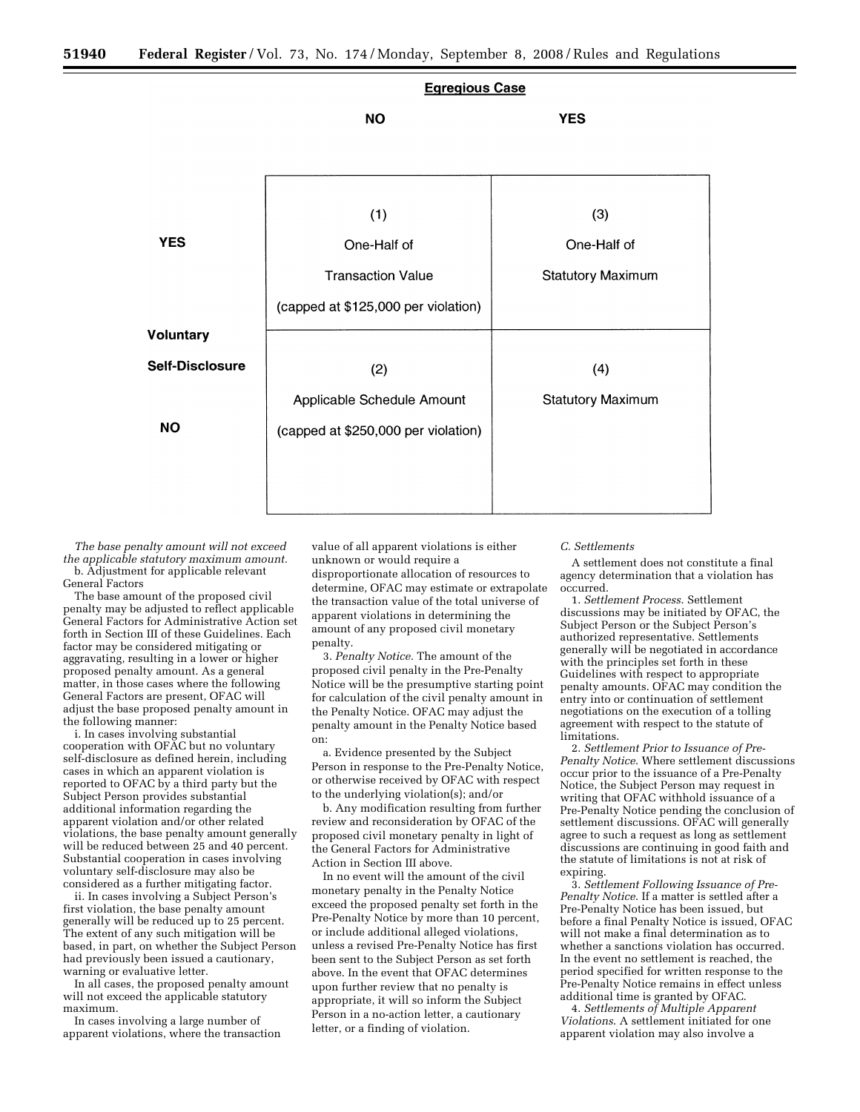

*The base penalty amount will not exceed the applicable statutory maximum amount.*  b. Adjustment for applicable relevant General Factors

The base amount of the proposed civil penalty may be adjusted to reflect applicable General Factors for Administrative Action set forth in Section III of these Guidelines. Each factor may be considered mitigating or aggravating, resulting in a lower or higher proposed penalty amount. As a general matter, in those cases where the following General Factors are present, OFAC will adjust the base proposed penalty amount in the following manner:

i. In cases involving substantial cooperation with OFAC but no voluntary self-disclosure as defined herein, including cases in which an apparent violation is reported to OFAC by a third party but the Subject Person provides substantial additional information regarding the apparent violation and/or other related violations, the base penalty amount generally will be reduced between 25 and 40 percent. Substantial cooperation in cases involving voluntary self-disclosure may also be considered as a further mitigating factor.

ii. In cases involving a Subject Person's first violation, the base penalty amount generally will be reduced up to 25 percent. The extent of any such mitigation will be based, in part, on whether the Subject Person had previously been issued a cautionary, warning or evaluative letter.

In all cases, the proposed penalty amount will not exceed the applicable statutory maximum.

In cases involving a large number of apparent violations, where the transaction

value of all apparent violations is either unknown or would require a disproportionate allocation of resources to determine, OFAC may estimate or extrapolate the transaction value of the total universe of apparent violations in determining the amount of any proposed civil monetary penalty.

3. *Penalty Notice.* The amount of the proposed civil penalty in the Pre-Penalty Notice will be the presumptive starting point for calculation of the civil penalty amount in the Penalty Notice. OFAC may adjust the penalty amount in the Penalty Notice based on:

a. Evidence presented by the Subject Person in response to the Pre-Penalty Notice, or otherwise received by OFAC with respect to the underlying violation(s); and/or

b. Any modification resulting from further review and reconsideration by OFAC of the proposed civil monetary penalty in light of the General Factors for Administrative Action in Section III above.

In no event will the amount of the civil monetary penalty in the Penalty Notice exceed the proposed penalty set forth in the Pre-Penalty Notice by more than 10 percent, or include additional alleged violations, unless a revised Pre-Penalty Notice has first been sent to the Subject Person as set forth above. In the event that OFAC determines upon further review that no penalty is appropriate, it will so inform the Subject Person in a no-action letter, a cautionary letter, or a finding of violation.

#### *C. Settlements*

A settlement does not constitute a final agency determination that a violation has occurred.

1. *Settlement Process*. Settlement discussions may be initiated by OFAC, the Subject Person or the Subject Person's authorized representative. Settlements generally will be negotiated in accordance with the principles set forth in these Guidelines with respect to appropriate penalty amounts. OFAC may condition the entry into or continuation of settlement negotiations on the execution of a tolling agreement with respect to the statute of limitations.

2. *Settlement Prior to Issuance of Pre-Penalty Notice*. Where settlement discussions occur prior to the issuance of a Pre-Penalty Notice, the Subject Person may request in writing that OFAC withhold issuance of a Pre-Penalty Notice pending the conclusion of settlement discussions. OFAC will generally agree to such a request as long as settlement discussions are continuing in good faith and the statute of limitations is not at risk of expiring.

3. *Settlement Following Issuance of Pre-Penalty Notice*. If a matter is settled after a Pre-Penalty Notice has been issued, but before a final Penalty Notice is issued, OFAC will not make a final determination as to whether a sanctions violation has occurred. In the event no settlement is reached, the period specified for written response to the Pre-Penalty Notice remains in effect unless additional time is granted by OFAC.

4. *Settlements of Multiple Apparent Violations*. A settlement initiated for one apparent violation may also involve a